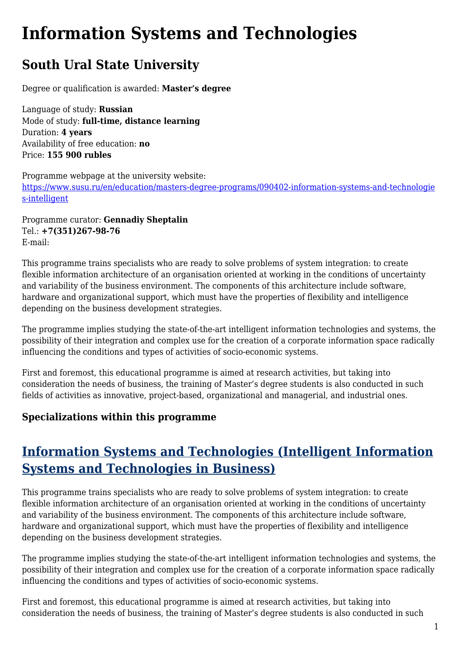## **Information Systems and Technologies**

## **South Ural State University**

Degree or qualification is awarded: **Master's degree**

Language of study: **Russian** Mode of study: **full-time, distance learning** Duration: **4 years** Availability of free education: **no** Price: **155 900 rubles**

Programme webpage at the university website: [https://www.susu.ru/en/education/masters-degree-programs/090402-information-systems-and-technologie](https://www.susu.ru/en/education/masters-degree-programs/090402-information-systems-and-technologies-intelligent) [s-intelligent](https://www.susu.ru/en/education/masters-degree-programs/090402-information-systems-and-technologies-intelligent)

Programme curator: **Gennadiy Sheptalin** Tel.: **+7(351)267‑98-76** E-mail:

This programme trains specialists who are ready to solve problems of system integration: to create flexible information architecture of an organisation oriented at working in the conditions of uncertainty and variability of the business environment. The components of this architecture include software, hardware and organizational support, which must have the properties of flexibility and intelligence depending on the business development strategies.

The programme implies studying the state-of-the-art intelligent information technologies and systems, the possibility of their integration and complex use for the creation of a corporate information space radically influencing the conditions and types of activities of socio-economic systems.

First and foremost, this educational programme is aimed at research activities, but taking into consideration the needs of business, the training of Master's degree students is also conducted in such fields of activities as innovative, project-based, organizational and managerial, and industrial ones.

## **Specializations within this programme**

## **Information Systems and Technologies (Intelligent Information Systems and Technologies in Business)**

This programme trains specialists who are ready to solve problems of system integration: to create flexible information architecture of an organisation oriented at working in the conditions of uncertainty and variability of the business environment. The components of this architecture include software, hardware and organizational support, which must have the properties of flexibility and intelligence depending on the business development strategies.

The programme implies studying the state-of-the-art intelligent information technologies and systems, the possibility of their integration and complex use for the creation of a corporate information space radically influencing the conditions and types of activities of socio-economic systems.

First and foremost, this educational programme is aimed at research activities, but taking into consideration the needs of business, the training of Master's degree students is also conducted in such